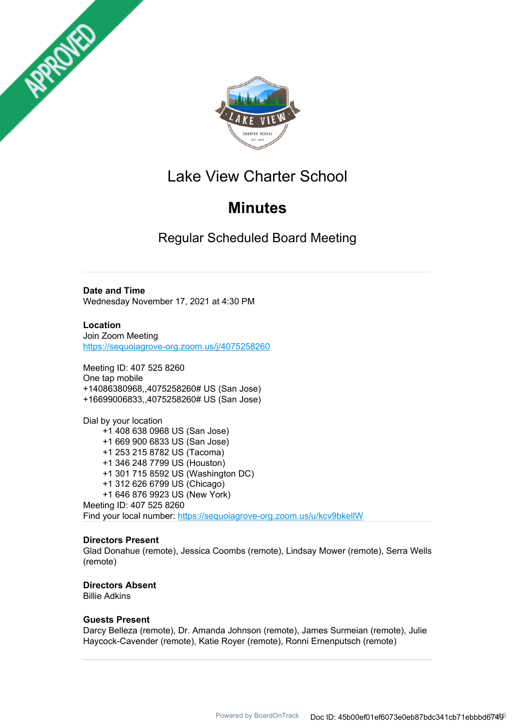



# Lake View Charter School

# **Minutes**

Regular Scheduled Board Meeting

## **Date and Time**

Wednesday November 17, 2021 at 4:30 PM

**Location** Join Zoom Meeting https://sequoiagrove-org.zoom.us/j/4075258260

Meeting ID: 407 525 8260 One tap mobile +14086380968,,4075258260# US (San Jose) +16699006833,,4075258260# US (San Jose)

Dial by your location +1 408 638 0968 US (San Jose) +1 669 900 6833 US (San Jose) +1 253 215 8782 US (Tacoma) +1 346 248 7799 US (Houston) +1 301 715 8592 US (Washington DC) +1 312 626 6799 US (Chicago) +1 646 876 9923 US (New York) Meeting ID: 407 525 8260 Find your local number: https://sequoiagrove-org.zoom.us/u/kcv9bkellW

## **Directors Present**

Glad Donahue (remote), Jessica Coombs (remote), Lindsay Mower (remote), Serra Wells (remote)

## **Directors Absent**

Billie Adkins

## **Guests Present**

Darcy Belleza (remote), Dr. Amanda Johnson (remote), James Surmeian (remote), Julie Haycock-Cavender (remote), Katie Royer (remote), Ronni Ernenputsch (remote)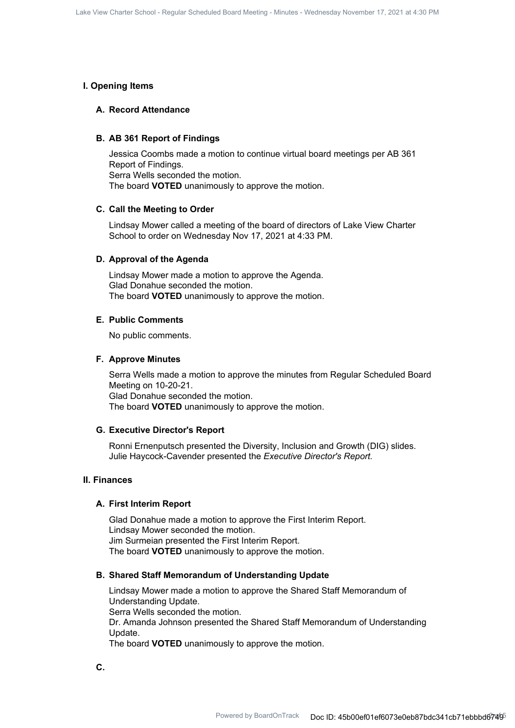## **I. Opening Items**

## **A. Record Attendance**

#### **B. AB 361 Report of Findings**

Jessica Coombs made a motion to continue virtual board meetings per AB 361 Report of Findings. Serra Wells seconded the motion. The board **VOTED** unanimously to approve the motion.

#### **C. Call the Meeting to Order**

Lindsay Mower called a meeting of the board of directors of Lake View Charter School to order on Wednesday Nov 17, 2021 at 4:33 PM.

## **D. Approval of the Agenda**

Lindsay Mower made a motion to approve the Agenda. Glad Donahue seconded the motion. The board **VOTED** unanimously to approve the motion.

## **E. Public Comments**

No public comments.

#### **F. Approve Minutes**

Serra Wells made a motion to approve the minutes from Regular Scheduled Board Meeting on 10-20-21. Glad Donahue seconded the motion. The board **VOTED** unanimously to approve the motion.

#### **G. Executive Director's Report**

Ronni Ernenputsch presented the Diversity, Inclusion and Growth (DIG) slides. Julie Haycock-Cavender presented the *Executive Director's Report.*

#### **II. Finances**

## **A. First Interim Report**

Glad Donahue made a motion to approve the First Interim Report. Lindsay Mower seconded the motion. Jim Surmeian presented the First Interim Report. The board **VOTED** unanimously to approve the motion.

#### **B. Shared Staff Memorandum of Understanding Update**

Lindsay Mower made a motion to approve the Shared Staff Memorandum of Understanding Update. Serra Wells seconded the motion. Dr. Amanda Johnson presented the Shared Staff Memorandum of Understanding Update. The board **VOTED** unanimously to approve the motion.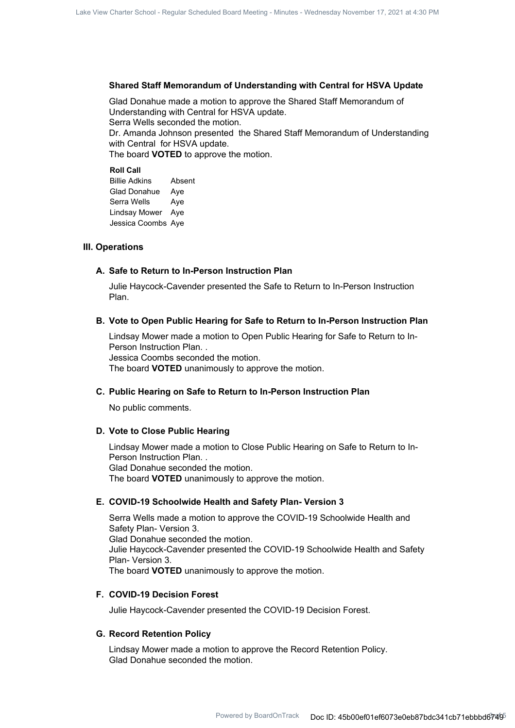## **Shared Staff Memorandum of Understanding with Central for HSVA Update**

Glad Donahue made a motion to approve the Shared Staff Memorandum of Understanding with Central for HSVA update. Serra Wells seconded the motion. Dr. Amanda Johnson presented the Shared Staff Memorandum of Understanding with Central for HSVA update. The board **VOTED** to approve the motion.

#### **Roll Call**

Billie Adkins Absent Glad Donahue Aye Serra Wells Aye Lindsay Mower Aye Jessica Coombs Aye

## **III. Operations**

## **A. Safe to Return to In-Person Instruction Plan**

Julie Haycock-Cavender presented the Safe to Return to In-Person Instruction Plan.

## **B. Vote to Open Public Hearing for Safe to Return to In-Person Instruction Plan**

Lindsay Mower made a motion to Open Public Hearing for Safe to Return to In-Person Instruction Plan. . Jessica Coombs seconded the motion. The board **VOTED** unanimously to approve the motion.

## **C. Public Hearing on Safe to Return to In-Person Instruction Plan**

No public comments.

## **D. Vote to Close Public Hearing**

Lindsay Mower made a motion to Close Public Hearing on Safe to Return to In-Person Instruction Plan. . Glad Donahue seconded the motion. The board **VOTED** unanimously to approve the motion.

## **E. COVID-19 Schoolwide Health and Safety Plan- Version 3**

Serra Wells made a motion to approve the COVID-19 Schoolwide Health and Safety Plan- Version 3. Glad Donahue seconded the motion. Julie Haycock-Cavender presented the COVID-19 Schoolwide Health and Safety Plan- Version 3. The board **VOTED** unanimously to approve the motion.

## **F. COVID-19 Decision Forest**

Julie Haycock-Cavender presented the COVID-19 Decision Forest.

## **G. Record Retention Policy**

Lindsay Mower made a motion to approve the Record Retention Policy. Glad Donahue seconded the motion.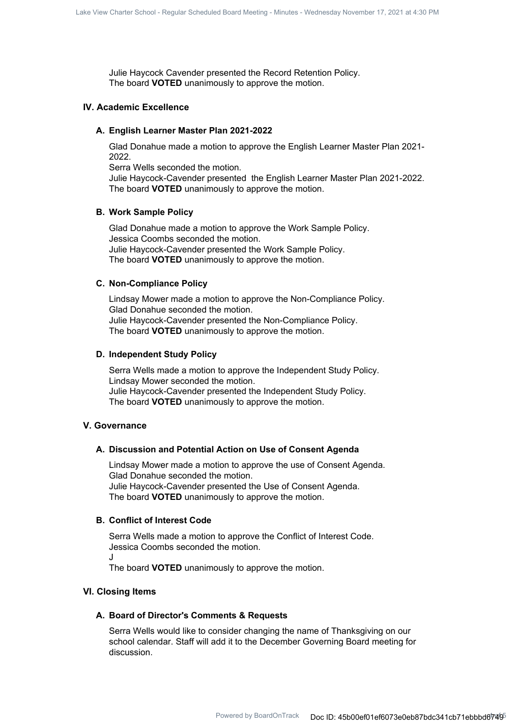Julie Haycock Cavender presented the Record Retention Policy. The board **VOTED** unanimously to approve the motion.

#### **IV. Academic Excellence**

### **A. English Learner Master Plan 2021-2022**

Glad Donahue made a motion to approve the English Learner Master Plan 2021- 2022.

Serra Wells seconded the motion.

Julie Haycock-Cavender presented the English Learner Master Plan 2021-2022. The board **VOTED** unanimously to approve the motion.

### **B. Work Sample Policy**

Glad Donahue made a motion to approve the Work Sample Policy. Jessica Coombs seconded the motion. Julie Haycock-Cavender presented the Work Sample Policy. The board **VOTED** unanimously to approve the motion.

#### **C. Non-Compliance Policy**

Lindsay Mower made a motion to approve the Non-Compliance Policy. Glad Donahue seconded the motion. Julie Haycock-Cavender presented the Non-Compliance Policy. The board **VOTED** unanimously to approve the motion.

### **D. Independent Study Policy**

Serra Wells made a motion to approve the Independent Study Policy. Lindsay Mower seconded the motion. Julie Haycock-Cavender presented the Independent Study Policy. The board **VOTED** unanimously to approve the motion.

## **V. Governance**

## **A. Discussion and Potential Action on Use of Consent Agenda**

Lindsay Mower made a motion to approve the use of Consent Agenda. Glad Donahue seconded the motion. Julie Haycock-Cavender presented the Use of Consent Agenda. The board **VOTED** unanimously to approve the motion.

### **B. Conflict of Interest Code**

Serra Wells made a motion to approve the Conflict of Interest Code. Jessica Coombs seconded the motion.

 $\cdot$ 

The board **VOTED** unanimously to approve the motion.

## **VI. Closing Items**

#### **A. Board of Director's Comments & Requests**

Serra Wells would like to consider changing the name of Thanksgiving on our school calendar. Staff will add it to the December Governing Board meeting for discussion.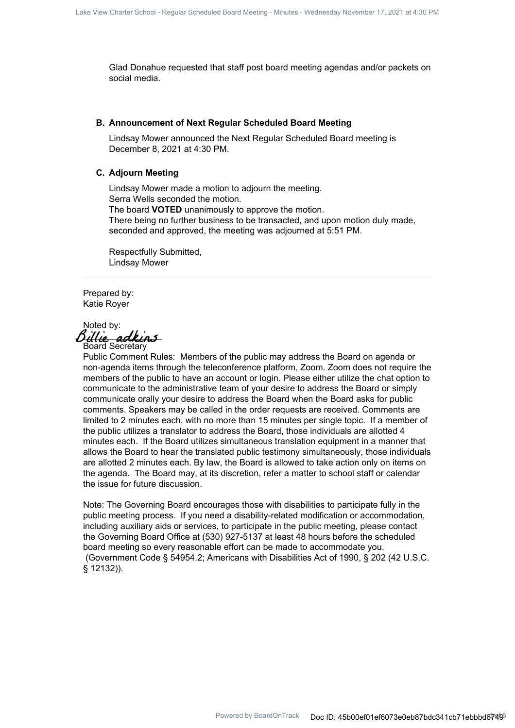Glad Donahue requested that staff post board meeting agendas and/or packets on social media.

#### **B. Announcement of Next Regular Scheduled Board Meeting**

Lindsay Mower announced the Next Regular Scheduled Board meeting is December 8, 2021 at 4:30 PM.

## **C. Adjourn Meeting**

Lindsay Mower made a motion to adjourn the meeting. Serra Wells seconded the motion. The board **VOTED** unanimously to approve the motion. There being no further business to be transacted, and upon motion duly made, seconded and approved, the meeting was adjourned at 5:51 PM.

Respectfully Submitted, Lindsay Mower

Prepared by: Katie Royer

Noted by: Billie adkins Board Secretary

Public Comment Rules: Members of the public may address the Board on agenda or non-agenda items through the teleconference platform, Zoom. Zoom does not require the members of the public to have an account or login. Please either utilize the chat option to communicate to the administrative team of your desire to address the Board or simply communicate orally your desire to address the Board when the Board asks for public comments. Speakers may be called in the order requests are received. Comments are limited to 2 minutes each, with no more than 15 minutes per single topic. If a member of the public utilizes a translator to address the Board, those individuals are allotted 4 minutes each. If the Board utilizes simultaneous translation equipment in a manner that allows the Board to hear the translated public testimony simultaneously, those individuals are allotted 2 minutes each. By law, the Board is allowed to take action only on items on the agenda. The Board may, at its discretion, refer a matter to school staff or calendar the issue for future discussion.

Note: The Governing Board encourages those with disabilities to participate fully in the public meeting process. If you need a disability-related modification or accommodation, including auxiliary aids or services, to participate in the public meeting, please contact the Governing Board Office at (530) 927-5137 at least 48 hours before the scheduled board meeting so every reasonable effort can be made to accommodate you. (Government Code § 54954.2; Americans with Disabilities Act of 1990, § 202 (42 U.S.C. § 12132)).